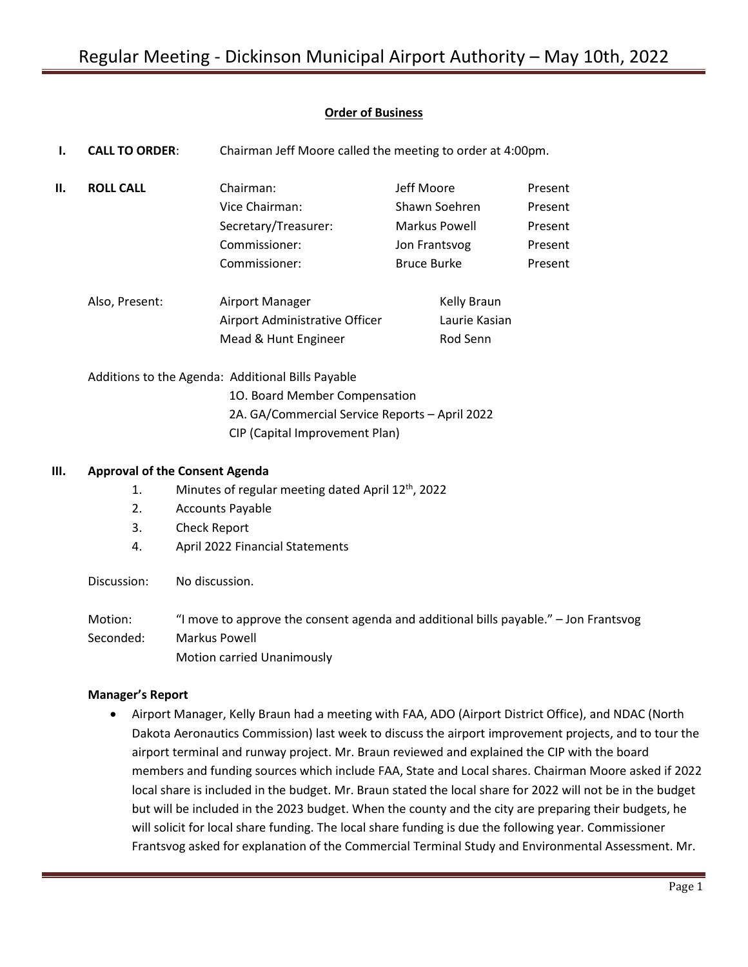# **Order of Business**

| ı. | <b>CALL TO ORDER:</b>                             | Chairman Jeff Moore called the meeting to order at 4:00pm. |                    |         |  |
|----|---------------------------------------------------|------------------------------------------------------------|--------------------|---------|--|
| Н. | <b>ROLL CALL</b>                                  | Chairman:                                                  | Jeff Moore         | Present |  |
|    |                                                   | Vice Chairman:                                             | Shawn Soehren      | Present |  |
|    |                                                   | Secretary/Treasurer:                                       | Markus Powell      | Present |  |
|    |                                                   | Commissioner:                                              | Jon Frantsvog      | Present |  |
|    |                                                   | Commissioner:                                              | <b>Bruce Burke</b> | Present |  |
|    | Also, Present:                                    | Airport Manager                                            | Kelly Braun        |         |  |
|    |                                                   | Airport Administrative Officer                             | Laurie Kasian      |         |  |
|    |                                                   | Mead & Hunt Engineer                                       | Rod Senn           |         |  |
|    | Additions to the Agenda: Additional Bills Payable |                                                            |                    |         |  |
|    | 10. Board Member Compensation                     |                                                            |                    |         |  |
|    | 2A. GA/Commercial Service Reports - April 2022    |                                                            |                    |         |  |
|    |                                                   | CIP (Capital Improvement Plan)                             |                    |         |  |
| Ш. | <b>Approval of the Consent Agenda</b>             |                                                            |                    |         |  |

- 1. Minutes of regular meeting dated April 12<sup>th</sup>, 2022
	- 2. Accounts Payable
	- 3. Check Report
	- 4. April 2022 Financial Statements

Discussion: No discussion.

Motion: "I move to approve the consent agenda and additional bills payable." – Jon Frantsvog Seconded: Markus Powell Motion carried Unanimously

# **Manager's Report**

• Airport Manager, Kelly Braun had a meeting with FAA, ADO (Airport District Office), and NDAC (North Dakota Aeronautics Commission) last week to discuss the airport improvement projects, and to tour the airport terminal and runway project. Mr. Braun reviewed and explained the CIP with the board members and funding sources which include FAA, State and Local shares. Chairman Moore asked if 2022 local share is included in the budget. Mr. Braun stated the local share for 2022 will not be in the budget but will be included in the 2023 budget. When the county and the city are preparing their budgets, he will solicit for local share funding. The local share funding is due the following year. Commissioner Frantsvog asked for explanation of the Commercial Terminal Study and Environmental Assessment. Mr.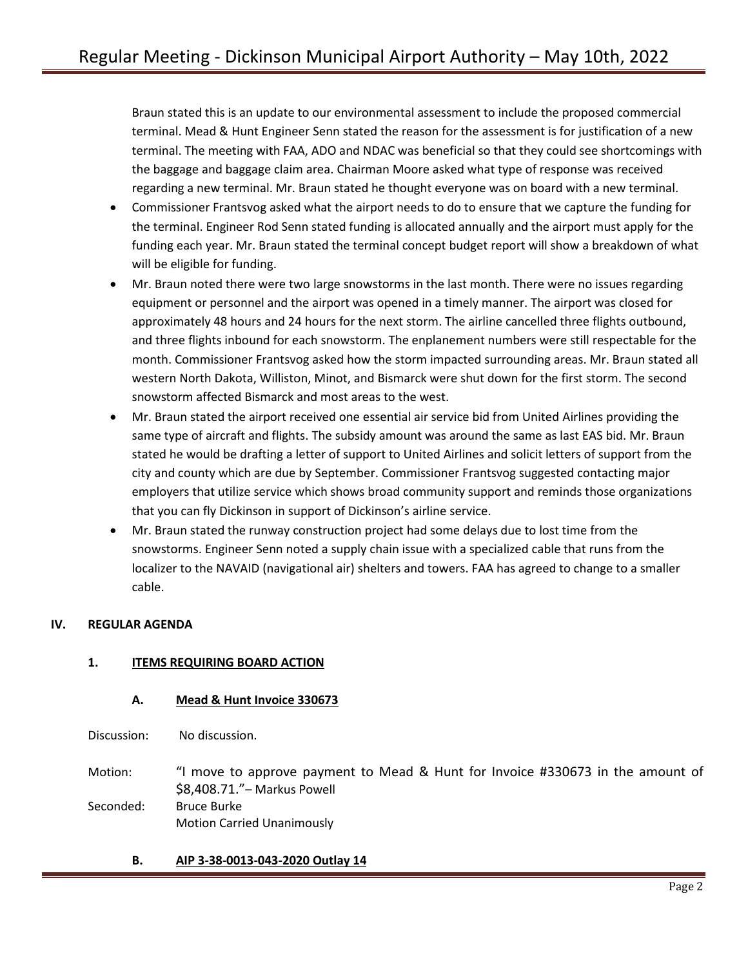Braun stated this is an update to our environmental assessment to include the proposed commercial terminal. Mead & Hunt Engineer Senn stated the reason for the assessment is for justification of a new terminal. The meeting with FAA, ADO and NDAC was beneficial so that they could see shortcomings with the baggage and baggage claim area. Chairman Moore asked what type of response was received regarding a new terminal. Mr. Braun stated he thought everyone was on board with a new terminal.

- Commissioner Frantsvog asked what the airport needs to do to ensure that we capture the funding for the terminal. Engineer Rod Senn stated funding is allocated annually and the airport must apply for the funding each year. Mr. Braun stated the terminal concept budget report will show a breakdown of what will be eligible for funding.
- Mr. Braun noted there were two large snowstorms in the last month. There were no issues regarding equipment or personnel and the airport was opened in a timely manner. The airport was closed for approximately 48 hours and 24 hours for the next storm. The airline cancelled three flights outbound, and three flights inbound for each snowstorm. The enplanement numbers were still respectable for the month. Commissioner Frantsvog asked how the storm impacted surrounding areas. Mr. Braun stated all western North Dakota, Williston, Minot, and Bismarck were shut down for the first storm. The second snowstorm affected Bismarck and most areas to the west.
- Mr. Braun stated the airport received one essential air service bid from United Airlines providing the same type of aircraft and flights. The subsidy amount was around the same as last EAS bid. Mr. Braun stated he would be drafting a letter of support to United Airlines and solicit letters of support from the city and county which are due by September. Commissioner Frantsvog suggested contacting major employers that utilize service which shows broad community support and reminds those organizations that you can fly Dickinson in support of Dickinson's airline service.
- Mr. Braun stated the runway construction project had some delays due to lost time from the snowstorms. Engineer Senn noted a supply chain issue with a specialized cable that runs from the localizer to the NAVAID (navigational air) shelters and towers. FAA has agreed to change to a smaller cable.

# **IV. REGULAR AGENDA**

# **1. ITEMS REQUIRING BOARD ACTION**

## **A. Mead & Hunt Invoice 330673**

Discussion: No discussion.

Motion: "I move to approve payment to Mead & Hunt for Invoice #330673 in the amount of \$8,408.71."– Markus Powell Seconded: Bruce Burke

Motion Carried Unanimously

# **B. AIP 3-38-0013-043-2020 Outlay 14**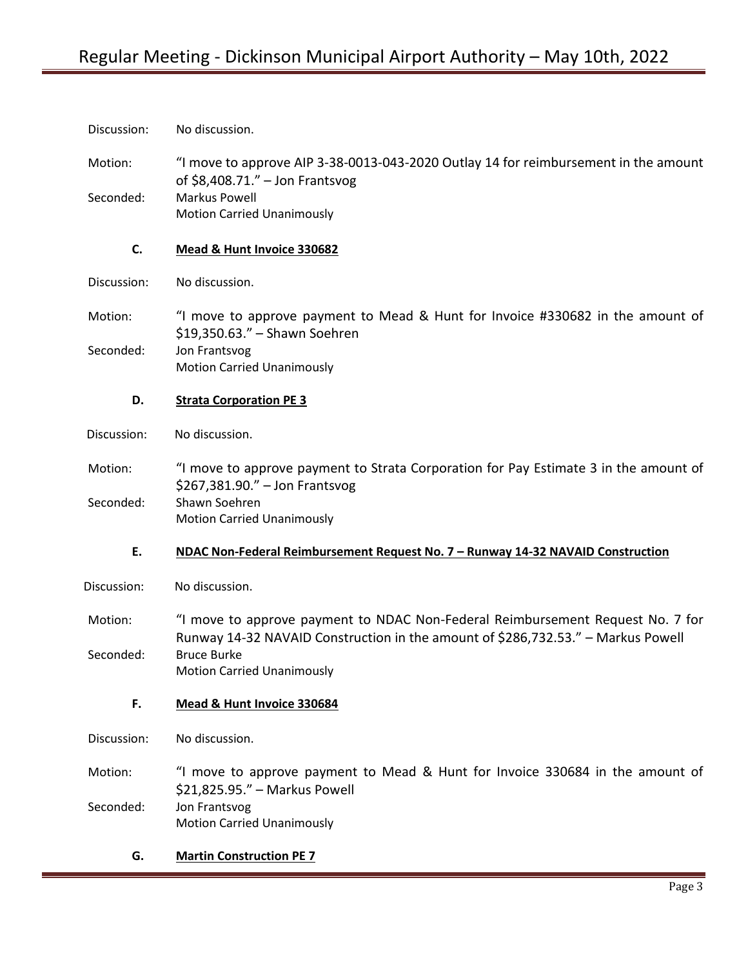Motion: "I move to approve AIP 3-38-0013-043-2020 Outlay 14 for reimbursement in the amount of \$8,408.71." – Jon Frantsvog Seconded: Markus Powell Motion Carried Unanimously

#### **C. Mead & Hunt Invoice 330682**

Discussion: No discussion.

Motion: "I move to approve payment to Mead & Hunt for Invoice #330682 in the amount of \$19,350.63." – Shawn Soehren Seconded: Jon Frantsvog Motion Carried Unanimously

#### **D. Strata Corporation PE 3**

Discussion: No discussion.

Motion: "I move to approve payment to Strata Corporation for Pay Estimate 3 in the amount of \$267,381.90." – Jon Frantsvog Seconded: Shawn Soehren Motion Carried Unanimously

# **E. NDAC Non-Federal Reimbursement Request No. 7 – Runway 14-32 NAVAID Construction**

Discussion: No discussion.

Motion: "I move to approve payment to NDAC Non-Federal Reimbursement Request No. 7 for Runway 14-32 NAVAID Construction in the amount of \$286,732.53." – Markus Powell Seconded: Bruce Burke Motion Carried Unanimously

## **F. Mead & Hunt Invoice 330684**

Discussion: No discussion.

Motion: "I move to approve payment to Mead & Hunt for Invoice 330684 in the amount of \$21,825.95." – Markus Powell Seconded: Jon Frantsvog

Motion Carried Unanimously

## **G. Martin Construction PE 7**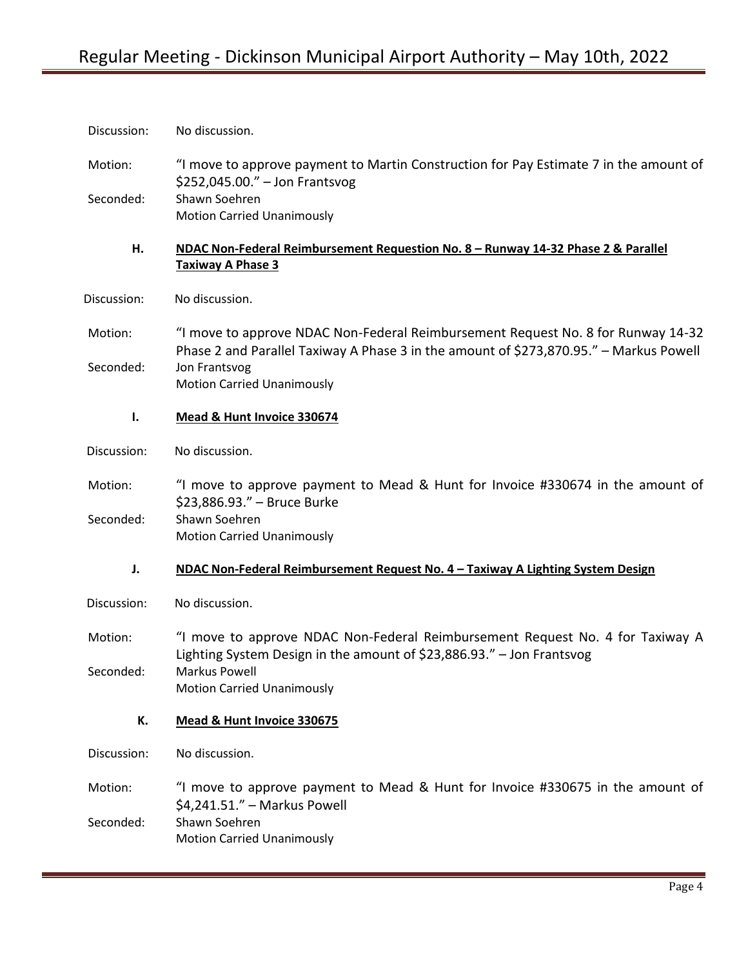| Discussion: | No discussion.                                                                                                                                                             |
|-------------|----------------------------------------------------------------------------------------------------------------------------------------------------------------------------|
| Motion:     | "I move to approve payment to Martin Construction for Pay Estimate 7 in the amount of<br>\$252,045.00." - Jon Frantsvog                                                    |
| Seconded:   | Shawn Soehren<br><b>Motion Carried Unanimously</b>                                                                                                                         |
| Н.          | NDAC Non-Federal Reimbursement Requestion No. 8 - Runway 14-32 Phase 2 & Parallel<br><b>Taxiway A Phase 3</b>                                                              |
| Discussion: | No discussion.                                                                                                                                                             |
| Motion:     | "I move to approve NDAC Non-Federal Reimbursement Request No. 8 for Runway 14-32<br>Phase 2 and Parallel Taxiway A Phase 3 in the amount of \$273,870.95." - Markus Powell |
| Seconded:   | Jon Frantsvog<br><b>Motion Carried Unanimously</b>                                                                                                                         |
| Ι.          | Mead & Hunt Invoice 330674                                                                                                                                                 |
| Discussion: | No discussion.                                                                                                                                                             |
| Motion:     | "I move to approve payment to Mead & Hunt for Invoice #330674 in the amount of<br>\$23,886.93." - Bruce Burke                                                              |
| Seconded:   | Shawn Soehren<br><b>Motion Carried Unanimously</b>                                                                                                                         |
| J.          | NDAC Non-Federal Reimbursement Request No. 4 - Taxiway A Lighting System Design                                                                                            |
| Discussion: | No discussion.                                                                                                                                                             |
| Motion:     | "I move to approve NDAC Non-Federal Reimbursement Request No. 4 for Taxiway A<br>Lighting System Design in the amount of \$23,886.93." - Jon Frantsvog                     |
| Seconded:   | Markus Powell<br><b>Motion Carried Unanimously</b>                                                                                                                         |
| К.          | Mead & Hunt Invoice 330675                                                                                                                                                 |
| Discussion: | No discussion.                                                                                                                                                             |
| Motion:     | "I move to approve payment to Mead & Hunt for Invoice #330675 in the amount of<br>\$4,241.51." - Markus Powell                                                             |
| Seconded:   | Shawn Soehren<br><b>Motion Carried Unanimously</b>                                                                                                                         |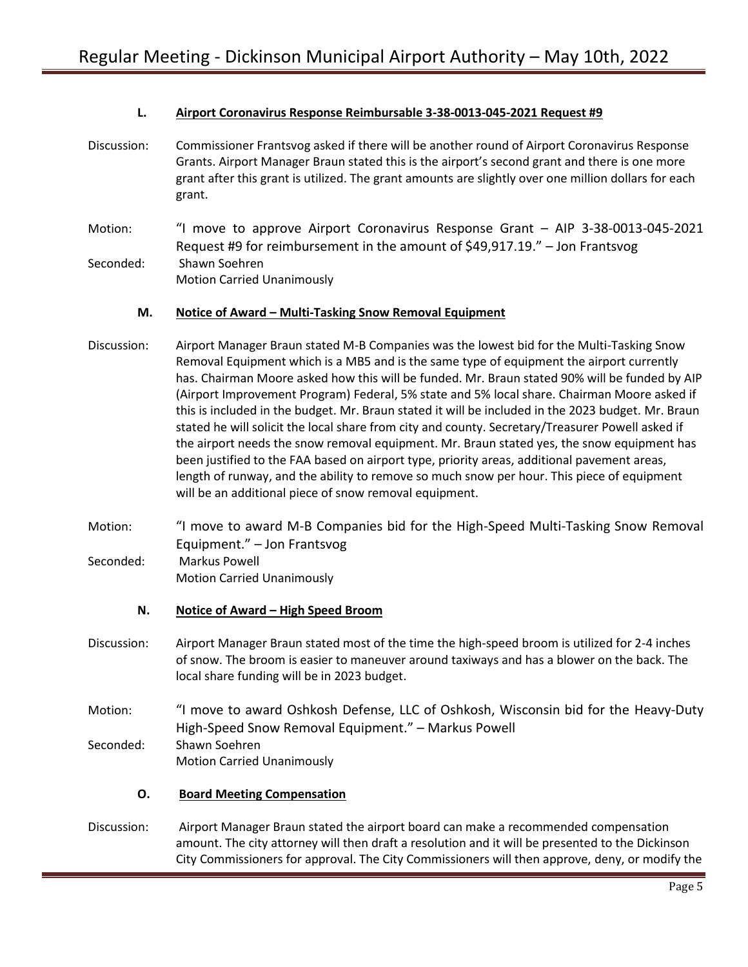## **L. Airport Coronavirus Response Reimbursable 3-38-0013-045-2021 Request #9**

- Discussion: Commissioner Frantsvog asked if there will be another round of Airport Coronavirus Response Grants. Airport Manager Braun stated this is the airport's second grant and there is one more grant after this grant is utilized. The grant amounts are slightly over one million dollars for each grant.
- Motion: "I move to approve Airport Coronavirus Response Grant AIP 3-38-0013-045-2021 Request #9 for reimbursement in the amount of \$49,917.19." – Jon Frantsvog Seconded: Shawn Soehren Motion Carried Unanimously

#### **M. Notice of Award – Multi-Tasking Snow Removal Equipment**

- Discussion: Airport Manager Braun stated M-B Companies was the lowest bid for the Multi-Tasking Snow Removal Equipment which is a MB5 and is the same type of equipment the airport currently has. Chairman Moore asked how this will be funded. Mr. Braun stated 90% will be funded by AIP (Airport Improvement Program) Federal, 5% state and 5% local share. Chairman Moore asked if this is included in the budget. Mr. Braun stated it will be included in the 2023 budget. Mr. Braun stated he will solicit the local share from city and county. Secretary/Treasurer Powell asked if the airport needs the snow removal equipment. Mr. Braun stated yes, the snow equipment has been justified to the FAA based on airport type, priority areas, additional pavement areas, length of runway, and the ability to remove so much snow per hour. This piece of equipment will be an additional piece of snow removal equipment.
- Motion: "I move to award M-B Companies bid for the High-Speed Multi-Tasking Snow Removal Equipment." – Jon Frantsvog Seconded: Markus Powell Motion Carried Unanimously

#### **N.** Notice of Award – High Speed Broom

- Discussion: Airport Manager Braun stated most of the time the high-speed broom is utilized for 2-4 inches of snow. The broom is easier to maneuver around taxiways and has a blower on the back. The local share funding will be in 2023 budget.
- Motion: "I move to award Oshkosh Defense, LLC of Oshkosh, Wisconsin bid for the Heavy-Duty High-Speed Snow Removal Equipment." – Markus Powell Seconded: Shawn Soehren Motion Carried Unanimously

## **O. Board Meeting Compensation**

Discussion: Airport Manager Braun stated the airport board can make a recommended compensation amount. The city attorney will then draft a resolution and it will be presented to the Dickinson City Commissioners for approval. The City Commissioners will then approve, deny, or modify the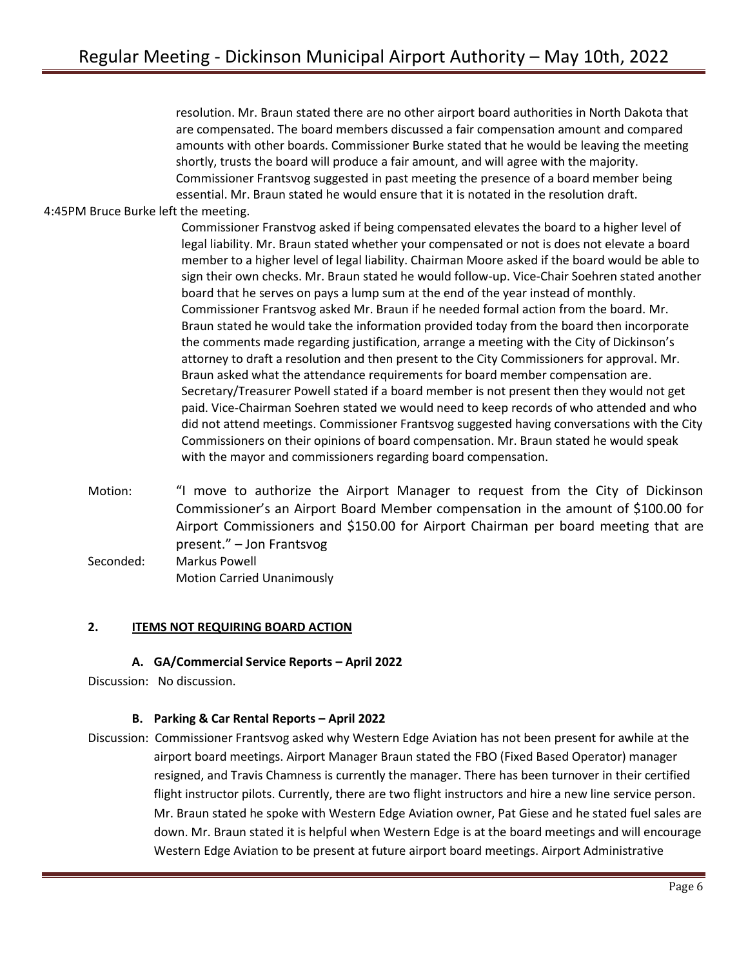resolution. Mr. Braun stated there are no other airport board authorities in North Dakota that are compensated. The board members discussed a fair compensation amount and compared amounts with other boards. Commissioner Burke stated that he would be leaving the meeting shortly, trusts the board will produce a fair amount, and will agree with the majority. Commissioner Frantsvog suggested in past meeting the presence of a board member being essential. Mr. Braun stated he would ensure that it is notated in the resolution draft.

## 4:45PM Bruce Burke left the meeting.

Commissioner Franstvog asked if being compensated elevates the board to a higher level of legal liability. Mr. Braun stated whether your compensated or not is does not elevate a board member to a higher level of legal liability. Chairman Moore asked if the board would be able to sign their own checks. Mr. Braun stated he would follow-up. Vice-Chair Soehren stated another board that he serves on pays a lump sum at the end of the year instead of monthly. Commissioner Frantsvog asked Mr. Braun if he needed formal action from the board. Mr. Braun stated he would take the information provided today from the board then incorporate the comments made regarding justification, arrange a meeting with the City of Dickinson's attorney to draft a resolution and then present to the City Commissioners for approval. Mr. Braun asked what the attendance requirements for board member compensation are. Secretary/Treasurer Powell stated if a board member is not present then they would not get paid. Vice-Chairman Soehren stated we would need to keep records of who attended and who did not attend meetings. Commissioner Frantsvog suggested having conversations with the City Commissioners on their opinions of board compensation. Mr. Braun stated he would speak with the mayor and commissioners regarding board compensation.

Motion: "I move to authorize the Airport Manager to request from the City of Dickinson Commissioner's an Airport Board Member compensation in the amount of \$100.00 for Airport Commissioners and \$150.00 for Airport Chairman per board meeting that are present." – Jon Frantsvog Seconded: Markus Powell Motion Carried Unanimously

#### **2. ITEMS NOT REQUIRING BOARD ACTION**

**A. GA/Commercial Service Reports – April 2022**

Discussion: No discussion.

## **B. Parking & Car Rental Reports – April 2022**

Discussion: Commissioner Frantsvog asked why Western Edge Aviation has not been present for awhile at the airport board meetings. Airport Manager Braun stated the FBO (Fixed Based Operator) manager resigned, and Travis Chamness is currently the manager. There has been turnover in their certified flight instructor pilots. Currently, there are two flight instructors and hire a new line service person. Mr. Braun stated he spoke with Western Edge Aviation owner, Pat Giese and he stated fuel sales are down. Mr. Braun stated it is helpful when Western Edge is at the board meetings and will encourage Western Edge Aviation to be present at future airport board meetings. Airport Administrative